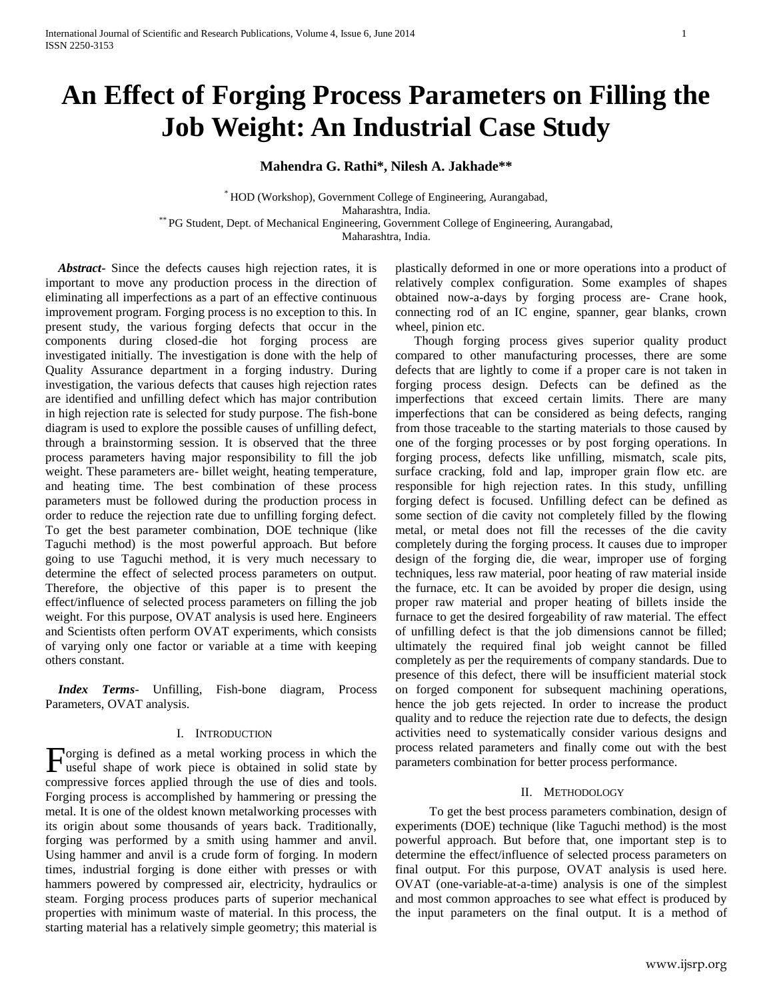# **An Effect of Forging Process Parameters on Filling the Job Weight: An Industrial Case Study**

**Mahendra G. Rathi\*, Nilesh A. Jakhade\*\***

\* HOD (Workshop), Government College of Engineering, Aurangabad, Maharashtra, India. \*\* PG Student, Dept. of Mechanical Engineering, Government College of Engineering, Aurangabad, Maharashtra, India.

 *Abstract***-** Since the defects causes high rejection rates, it is important to move any production process in the direction of eliminating all imperfections as a part of an effective continuous improvement program. Forging process is no exception to this. In present study, the various forging defects that occur in the components during closed-die hot forging process are investigated initially. The investigation is done with the help of Quality Assurance department in a forging industry. During investigation, the various defects that causes high rejection rates are identified and unfilling defect which has major contribution in high rejection rate is selected for study purpose. The fish-bone diagram is used to explore the possible causes of unfilling defect, through a brainstorming session. It is observed that the three process parameters having major responsibility to fill the job weight. These parameters are- billet weight, heating temperature, and heating time. The best combination of these process parameters must be followed during the production process in order to reduce the rejection rate due to unfilling forging defect. To get the best parameter combination, DOE technique (like Taguchi method) is the most powerful approach. But before going to use Taguchi method, it is very much necessary to determine the effect of selected process parameters on output. Therefore, the objective of this paper is to present the effect/influence of selected process parameters on filling the job weight. For this purpose, OVAT analysis is used here. Engineers and Scientists often perform OVAT experiments, which consists of varying only one factor or variable at a time with keeping others constant.

 *Index Terms*- Unfilling, Fish-bone diagram, Process Parameters, OVAT analysis.

## I. INTRODUCTION

orging is defined as a metal working process in which the Forging is defined as a metal working process in which the useful shape of work piece is obtained in solid state by compressive forces applied through the use of dies and tools. Forging process is accomplished by hammering or pressing the metal. It is one of the oldest known metalworking processes with its origin about some thousands of years back. Traditionally, forging was performed by a smith using hammer and anvil. Using hammer and anvil is a crude form of forging. In modern times, industrial forging is done either with presses or with hammers powered by compressed air, electricity, hydraulics or steam. Forging process produces parts of superior mechanical properties with minimum waste of material. In this process, the starting material has a relatively simple geometry; this material is

plastically deformed in one or more operations into a product of relatively complex configuration. Some examples of shapes obtained now-a-days by forging process are- Crane hook, connecting rod of an IC engine, spanner, gear blanks, crown wheel, pinion etc.

 Though forging process gives superior quality product compared to other manufacturing processes, there are some defects that are lightly to come if a proper care is not taken in forging process design. Defects can be defined as the imperfections that exceed certain limits. There are many imperfections that can be considered as being defects, ranging from those traceable to the starting materials to those caused by one of the forging processes or by post forging operations. In forging process, defects like unfilling, mismatch, scale pits, surface cracking, fold and lap, improper grain flow etc. are responsible for high rejection rates. In this study, unfilling forging defect is focused. Unfilling defect can be defined as some section of die cavity not completely filled by the flowing metal, or metal does not fill the recesses of the die cavity completely during the forging process. It causes due to improper design of the forging die, die wear, improper use of forging techniques, less raw material, poor heating of raw material inside the furnace, etc. It can be avoided by proper die design, using proper raw material and proper heating of billets inside the furnace to get the desired forgeability of raw material. The effect of unfilling defect is that the job dimensions cannot be filled; ultimately the required final job weight cannot be filled completely as per the requirements of company standards. Due to presence of this defect, there will be insufficient material stock on forged component for subsequent machining operations, hence the job gets rejected. In order to increase the product quality and to reduce the rejection rate due to defects, the design activities need to systematically consider various designs and process related parameters and finally come out with the best parameters combination for better process performance.

## II. METHODOLOGY

To get the best process parameters combination, design of experiments (DOE) technique (like Taguchi method) is the most powerful approach. But before that, one important step is to determine the effect/influence of selected process parameters on final output. For this purpose, OVAT analysis is used here. OVAT (one-variable-at-a-time) analysis is one of the simplest and most common approaches to see what effect is produced by the input parameters on the final output. It is a method of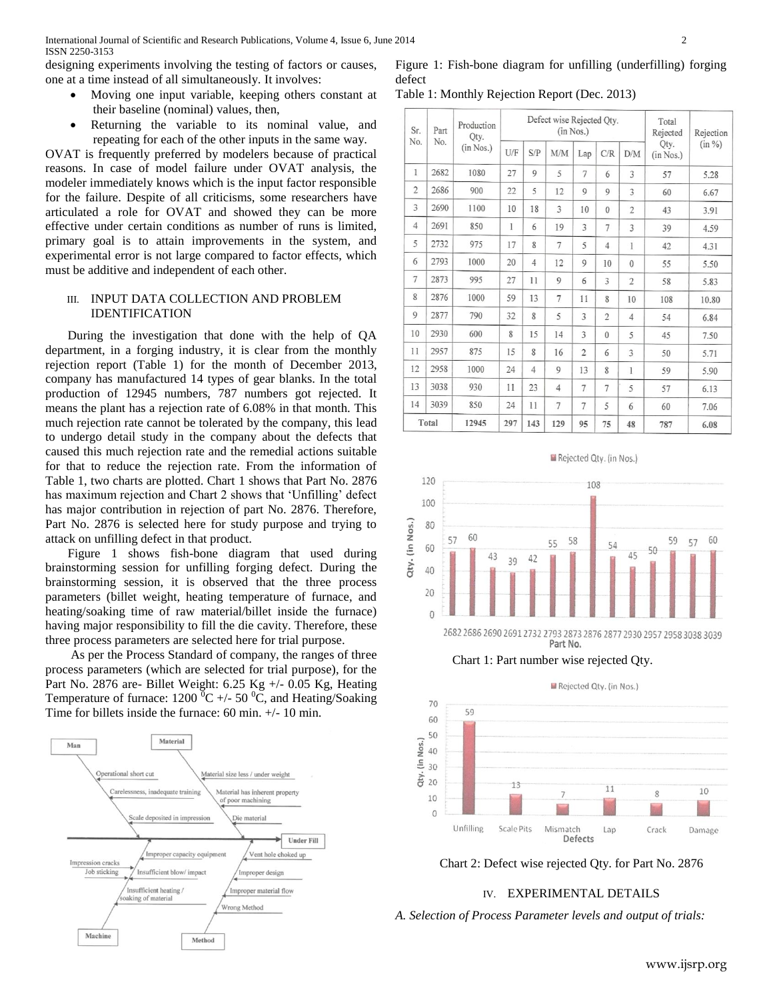designing experiments involving the testing of factors or causes, one at a time instead of all simultaneously. It involves:

- Moving one input variable, keeping others constant at their baseline (nominal) values, then,
- Returning the variable to its nominal value, and repeating for each of the other inputs in the same way.

OVAT is frequently preferred by modelers because of practical reasons. In case of model failure under OVAT analysis, the modeler immediately knows which is the input factor responsible for the failure. Despite of all criticisms, some researchers have articulated a role for OVAT and showed they can be more effective under certain conditions as number of runs is limited, primary goal is to attain improvements in the system, and experimental error is not large compared to factor effects, which must be additive and independent of each other.

# III. INPUT DATA COLLECTION AND PROBLEM IDENTIFICATION

 During the investigation that done with the help of QA department, in a forging industry, it is clear from the monthly rejection report (Table 1) for the month of December 2013, company has manufactured 14 types of gear blanks. In the total production of 12945 numbers, 787 numbers got rejected. It means the plant has a rejection rate of 6.08% in that month. This much rejection rate cannot be tolerated by the company, this lead to undergo detail study in the company about the defects that caused this much rejection rate and the remedial actions suitable for that to reduce the rejection rate. From the information of Table 1, two charts are plotted. Chart 1 shows that Part No. 2876 has maximum rejection and Chart 2 shows that 'Unfilling' defect has major contribution in rejection of part No. 2876. Therefore, Part No. 2876 is selected here for study purpose and trying to attack on unfilling defect in that product.

 Figure 1 shows fish-bone diagram that used during brainstorming session for unfilling forging defect. During the brainstorming session, it is observed that the three process parameters (billet weight, heating temperature of furnace, and heating/soaking time of raw material/billet inside the furnace) having major responsibility to fill the die cavity. Therefore, these three process parameters are selected here for trial purpose.

 As per the Process Standard of company, the ranges of three process parameters (which are selected for trial purpose), for the Part No. 2876 are- Billet Weight: 6.25 Kg +/- 0.05 Kg, Heating Temperature of furnace:  $1200\,^{\circ}\text{C}$  +/- 50  $^{\circ}\text{C}$ , and Heating/Soaking Time for billets inside the furnace: 60 min. +/- 10 min.



Figure 1: Fish-bone diagram for unfilling (underfilling) forging defect

Table 1: Monthly Rejection Report (Dec. 2013)

| Sr.<br>Part<br>No.<br>No. |       | Production<br>Qty. | Defect wise Rejected Qty.<br>(in Nos.) |     |                |                |                | Total<br>Rejected | Rejection                      |       |
|---------------------------|-------|--------------------|----------------------------------------|-----|----------------|----------------|----------------|-------------------|--------------------------------|-------|
|                           |       | (in Nos.)          | U/F                                    | S/P | <b>M/M</b>     | Lap            | C/R            | D/M               | $(in \%)$<br>Qty.<br>(in Nos.) |       |
| 1                         | 2682  | 1080               | 27                                     | 9   | 5              | $\overline{7}$ | 6              | 3                 | 57                             | 5.28  |
| $\overline{2}$            | 2686  | 900                | 22                                     | 5   | 12             | $\overline{9}$ | $\mathbf Q$    | 3                 | 60                             | 6.67  |
| 3                         | 2690  | 1100               | 10                                     | 18  | 3              | 10             | $\theta$       | $\overline{2}$    | 43                             | 3.91  |
| $\overline{4}$            | 2691  | 850                | 1                                      | 6   | 19             | 3              | 7              | 3                 | 39                             | 4.59  |
| 5                         | 2732  | 975                | 17                                     | 8   | 7              | 5              | $\overline{4}$ | 1                 | 42                             | 4.31  |
| 6                         | 2793  | 1000               | 20                                     | 4   | 12             | 9              | 10             | $\theta$          | 55                             | 5.50  |
| 7                         | 2873  | 995                | 27                                     | 11  | 9              | 6              | 3              | $\overline{2}$    | 58                             | 5.83  |
| 8                         | 2876  | 1000               | 59                                     | 13  | $\overline{7}$ | 11             | 8              | 10                | 108                            | 10.80 |
| 9                         | 2877  | 790                | 32                                     | 8   | 5              | 3              | $\overline{2}$ | $\overline{4}$    | 54                             | 6.84  |
| 10                        | 2930  | 600                | 8                                      | 15  | 14             | 3              | $\theta$       | 5                 | 45                             | 7.50  |
| 11                        | 2957  | 875                | 15                                     | 8   | 16             | $\overline{2}$ | 6              | 3                 | 50                             | 5.71  |
| 12                        | 2958  | 1000               | 24                                     | 4   | 9              | 13             | 8              | 1                 | 59                             | 5.90  |
| 13                        | 3038  | 930                | 11                                     | 23  | 4              | $\overline{7}$ | 7              | 5                 | 57                             | 6.13  |
| 14                        | 3039  | 850                | 24                                     | 11  | $\overline{7}$ | 7              | 5              | 6                 | 60                             | 7.06  |
|                           | Total | 12945              | 297                                    | 143 | 129            | 95             | 75             | 48                | 787                            | 6.08  |

120 108 100 Qty. (in Nos.) 80 60 57 58 60 59 57 55 54 60 50  $45$ 42 39 40 20  $\theta$ 

2682 2686 2690 2691 2732 2793 2873 2876 2877 2930 2957 2958 3038 3039 Part No.

Rejected Qty. (in Nos.)

Chart 1: Part number wise rejected Qty.



Chart 2: Defect wise rejected Qty. for Part No. 2876

# IV. EXPERIMENTAL DETAILS

*A. Selection of Process Parameter levels and output of trials:*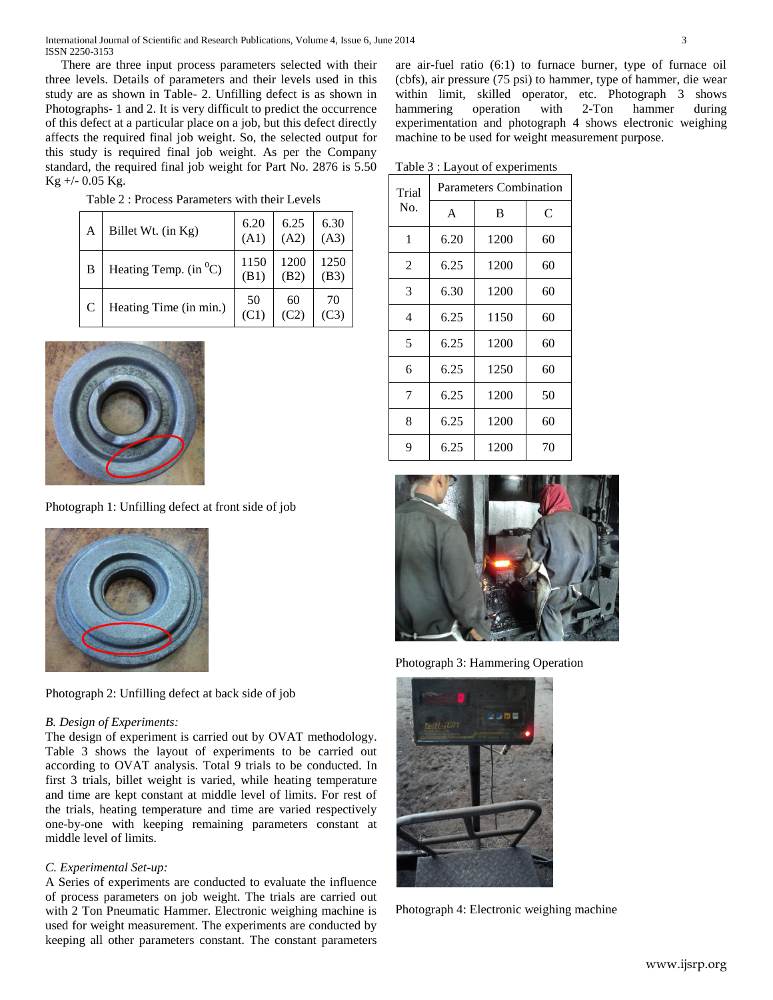International Journal of Scientific and Research Publications, Volume 4, Issue 6, June 2014 3 ISSN 2250-3153

 There are three input process parameters selected with their three levels. Details of parameters and their levels used in this study are as shown in Table- 2. Unfilling defect is as shown in Photographs- 1 and 2. It is very difficult to predict the occurrence of this defect at a particular place on a job, but this defect directly affects the required final job weight. So, the selected output for this study is required final job weight. As per the Company standard, the required final job weight for Part No. 2876 is 5.50 Kg +/- 0.05 Kg.

| A | Billet Wt. (in Kg)        | 6.20<br>(A1)              | 6.25<br>(A2) | 6.30<br>(A3) |
|---|---------------------------|---------------------------|--------------|--------------|
| B | Heating Temp. $(in^{0}C)$ | 1150<br>(B <sub>1</sub> ) | 1200<br>(B2) | 1250<br>(B3) |
|   | Heating Time (in min.)    | 50<br>(C1)                | 60<br>(C2)   | 70           |

Table 2 : Process Parameters with their Levels



Photograph 1: Unfilling defect at front side of job



Photograph 2: Unfilling defect at back side of job

## *B. Design of Experiments:*

The design of experiment is carried out by OVAT methodology. Table 3 shows the layout of experiments to be carried out according to OVAT analysis. Total 9 trials to be conducted. In first 3 trials, billet weight is varied, while heating temperature and time are kept constant at middle level of limits. For rest of the trials, heating temperature and time are varied respectively one-by-one with keeping remaining parameters constant at middle level of limits.

# *C. Experimental Set-up:*

A Series of experiments are conducted to evaluate the influence of process parameters on job weight. The trials are carried out with 2 Ton Pneumatic Hammer. Electronic weighing machine is used for weight measurement. The experiments are conducted by keeping all other parameters constant. The constant parameters are air-fuel ratio (6:1) to furnace burner, type of furnace oil (cbfs), air pressure (75 psi) to hammer, type of hammer, die wear within limit, skilled operator, etc. Photograph 3 shows hammering operation with 2-Ton hammer during experimentation and photograph 4 shows electronic weighing machine to be used for weight measurement purpose.

Table 3 : Layout of experiments

| Trial          | <b>Parameters Combination</b> |      |    |  |  |
|----------------|-------------------------------|------|----|--|--|
| No.            | $\overline{A}$                | B    | C  |  |  |
| 1              | 6.20                          | 1200 | 60 |  |  |
| $\overline{2}$ | 6.25                          | 1200 | 60 |  |  |
| 3              | 6.30                          | 1200 | 60 |  |  |
| 4              | 6.25                          | 1150 | 60 |  |  |
| 5              | 6.25                          | 1200 | 60 |  |  |
| 6              | 6.25                          | 1250 | 60 |  |  |
| 7              | 6.25                          | 1200 | 50 |  |  |
| 8              | 6.25                          | 1200 | 60 |  |  |
| 9              | 6.25                          | 1200 | 70 |  |  |



Photograph 3: Hammering Operation



Photograph 4: Electronic weighing machine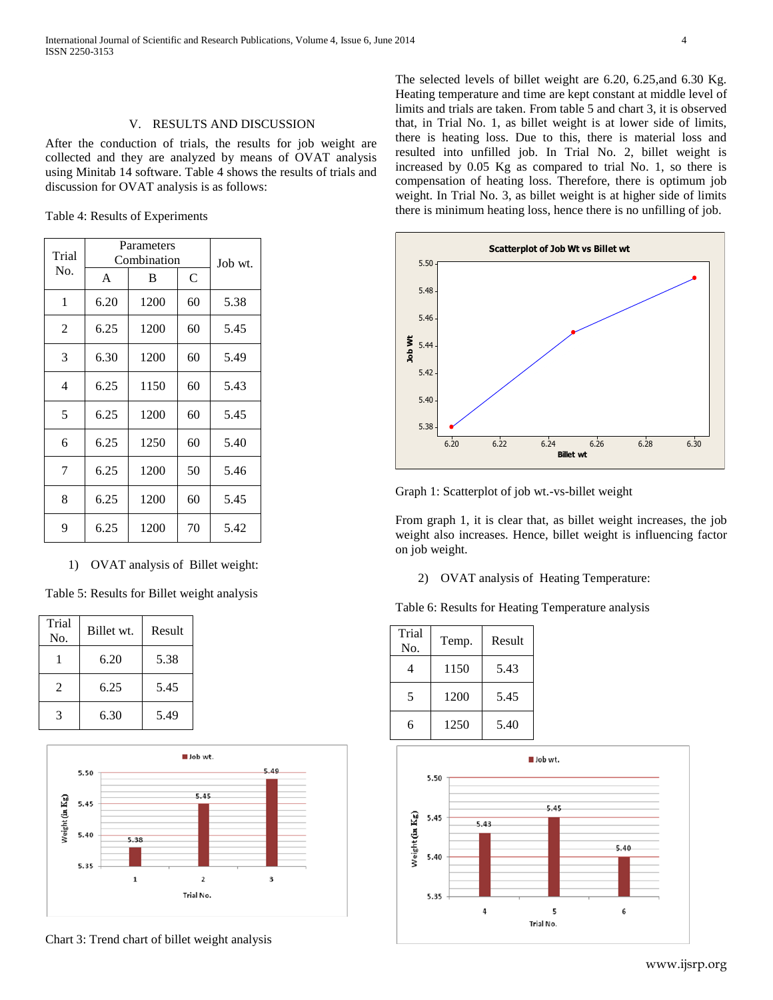# V. RESULTS AND DISCUSSION

After the conduction of trials, the results for job weight are collected and they are analyzed by means of OVAT analysis using Minitab 14 software. Table 4 shows the results of trials and discussion for OVAT analysis is as follows:

Table 4: Results of Experiments

| Trial          | Parameters<br>Combination | Job wt. |    |      |
|----------------|---------------------------|---------|----|------|
| No.            | A                         | B       | C  |      |
| 1              | 6.20                      | 1200    | 60 | 5.38 |
| $\overline{2}$ | 6.25                      | 1200    | 60 | 5.45 |
| 3              | 6.30                      | 1200    | 60 | 5.49 |
| 4              | 6.25                      | 1150    | 60 | 5.43 |
| 5              | 6.25                      | 1200    | 60 | 5.45 |
| 6              | 6.25                      | 1250    | 60 | 5.40 |
| 7              | 6.25                      | 1200    | 50 | 5.46 |
| 8              | 6.25                      | 1200    | 60 | 5.45 |
| 9              | 6.25                      | 1200    | 70 | 5.42 |

1) OVAT analysis of Billet weight:

Table 5: Results for Billet weight analysis

| Trial<br>No.   | Billet wt. | Result |
|----------------|------------|--------|
|                | 6.20       | 5.38   |
| $\mathfrak{D}$ | 6.25       | 5.45   |
| 3              | 6.30       | 5.49   |



Chart 3: Trend chart of billet weight analysis

The selected levels of billet weight are 6.20, 6.25,and 6.30 Kg. Heating temperature and time are kept constant at middle level of limits and trials are taken. From table 5 and chart 3, it is observed that, in Trial No. 1, as billet weight is at lower side of limits, there is heating loss. Due to this, there is material loss and resulted into unfilled job. In Trial No. 2, billet weight is increased by 0.05 Kg as compared to trial No. 1, so there is compensation of heating loss. Therefore, there is optimum job weight. In Trial No. 3, as billet weight is at higher side of limits there is minimum heating loss, hence there is no unfilling of job.



Graph 1: Scatterplot of job wt.-vs-billet weight

From graph 1, it is clear that, as billet weight increases, the job weight also increases. Hence, billet weight is influencing factor on job weight.

2) OVAT analysis of Heating Temperature:

Table 6: Results for Heating Temperature analysis

| Trial<br>No. | Temp. | Result |
|--------------|-------|--------|
| 4            | 1150  | 5.43   |
| 5            | 1200  | 5.45   |
| 6            | 1250  | 5.40   |

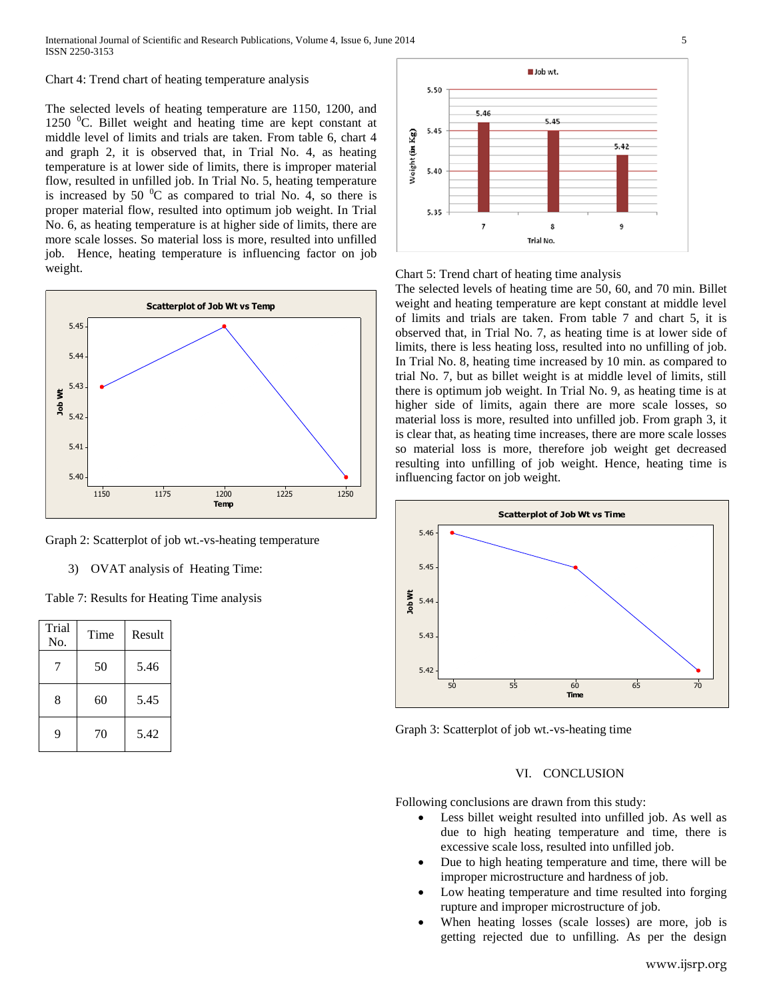#### Chart 4: Trend chart of heating temperature analysis

The selected levels of heating temperature are 1150, 1200, and 1250  $\mathrm{^0C}$ . Billet weight and heating time are kept constant at middle level of limits and trials are taken. From table 6, chart 4 and graph 2, it is observed that, in Trial No. 4, as heating temperature is at lower side of limits, there is improper material flow, resulted in unfilled job. In Trial No. 5, heating temperature is increased by 50  $\mathrm{^0C}$  as compared to trial No. 4, so there is proper material flow, resulted into optimum job weight. In Trial No. 6, as heating temperature is at higher side of limits, there are more scale losses. So material loss is more, resulted into unfilled job. Hence, heating temperature is influencing factor on job weight.



Graph 2: Scatterplot of job wt.-vs-heating temperature

3) OVAT analysis of Heating Time:

Table 7: Results for Heating Time analysis

| Trial<br>No. | Time | Result |
|--------------|------|--------|
|              | 50   | 5.46   |
| 8            | 60   | 5.45   |
| 9            | 70   | 5.42   |



Chart 5: Trend chart of heating time analysis

The selected levels of heating time are 50, 60, and 70 min. Billet weight and heating temperature are kept constant at middle level of limits and trials are taken. From table 7 and chart 5, it is observed that, in Trial No. 7, as heating time is at lower side of limits, there is less heating loss, resulted into no unfilling of job. In Trial No. 8, heating time increased by 10 min. as compared to trial No. 7, but as billet weight is at middle level of limits, still there is optimum job weight. In Trial No. 9, as heating time is at higher side of limits, again there are more scale losses, so material loss is more, resulted into unfilled job. From graph 3, it is clear that, as heating time increases, there are more scale losses so material loss is more, therefore job weight get decreased resulting into unfilling of job weight. Hence, heating time is influencing factor on job weight.



Graph 3: Scatterplot of job wt.-vs-heating time

## VI. CONCLUSION

Following conclusions are drawn from this study:

- Less billet weight resulted into unfilled job. As well as due to high heating temperature and time, there is excessive scale loss, resulted into unfilled job.
- Due to high heating temperature and time, there will be improper microstructure and hardness of job.
- Low heating temperature and time resulted into forging rupture and improper microstructure of job.
- When heating losses (scale losses) are more, job is getting rejected due to unfilling. As per the design